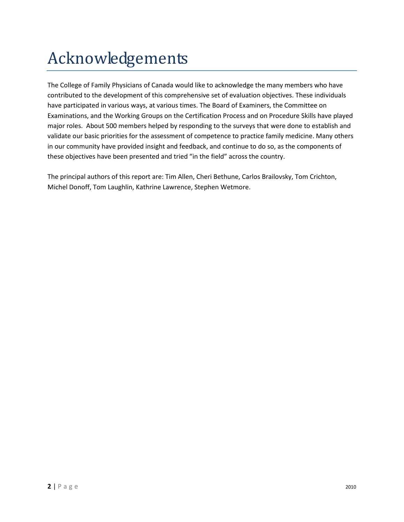## Acknowledgements

The College of Family Physicians of Canada would like to acknowledge the many members who have contributed to the development of this comprehensive set of evaluation objectives. These individuals have participated in various ways, at various times. The Board of Examiners, the Committee on Examinations, and the Working Groups on the Certification Process and on Procedure Skills have played major roles. About 500 members helped by responding to the surveys that were done to establish and validate our basic priorities for the assessment of competence to practice family medicine. Many others in our community have provided insight and feedback, and continue to do so, as the components of these objectives have been presented and tried "in the field" across the country.

The principal authors of this report are: Tim Allen, Cheri Bethune, Carlos Brailovsky, Tom Crichton, Michel Donoff, Tom Laughlin, Kathrine Lawrence, Stephen Wetmore.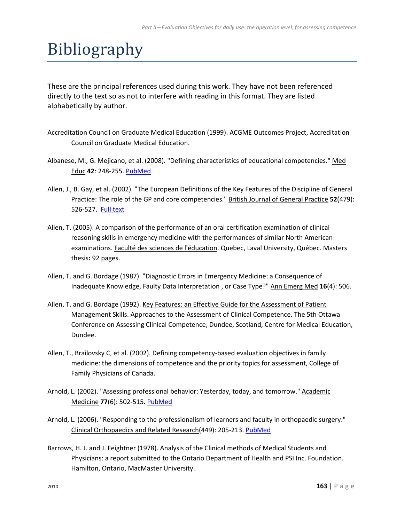## Bibliography

These are the principal references used during this work. They have not been referenced directly to the text so as not to interfere with reading in this format. They are listed alphabetically by author.

- Accreditation Council on Graduate Medical Education (1999). ACGME Outcomes Project, Accreditation Council on Graduate Medical Education.
- Albanese, M., G. Mejicano, et al. (2008). "Defining characteristics of educational competencies." Med Educ **42**: 248-255. [PubMed](http://www.ncbi.nlm.nih.gov/sites/entrez?Db=pubmed&Cmd=DetailsSearch&Term=18275412%5Buid%5D)
- Allen, J., B. Gay, et al. (2002). "The European Definitions of the Key Features of the Discipline of General Practice: The role of the GP and core competencies." British Journal of General Practice **52**(479): 526-527. [Full text](http://www.pubmedcentral.nih.gov/articlerender.fcgi?tool=pubmed&pubmedid=12051237)
- Allen, T. (2005). A comparison of the performance of an oral certification examination of clinical reasoning skills in emergency medicine with the performances of similar North American examinations. Faculté des sciences de l'éducation. Quebec, Laval University, Québec. Masters thesis**:** 92 pages.
- Allen, T. and G. Bordage (1987). "Diagnostic Errors in Emergency Medicine: a Consequence of Inadequate Knowledge, Faulty Data Interpretation , or Case Type?" Ann Emerg Med **16**(4): 506.
- Allen, T. and G. Bordage (1992). Key Features: an Effective Guide for the Assessment of Patient Management Skills. Approaches to the Assessment of Clinical Competence. The 5th Ottawa Conference on Assessing Clinical Competence, Dundee, Scotland, Centre for Medical Education, Dundee.
- Allen, T., Brailovsky C, et al. (2002). Defining competency-based evaluation objectives in family medicine: the dimensions of competence and the priority topics for assessment, College of Family Physicians of Canada.
- Arnold, L. (2002). "Assessing professional behavior: Yesterday, today, and tomorrow." Academic Medicine **77**(6): 502-515. [PubMed](http://www.ncbi.nlm.nih.gov/sites/entrez?Db=pubmed&Cmd=DetailsSearch&Term=12063194%5Buid%5D)
- Arnold, L. (2006). "Responding to the professionalism of learners and faculty in orthopaedic surgery." Clinical Orthopaedics and Related Research(449): 205-213. [PubMed](http://www.ncbi.nlm.nih.gov/sites/entrez?Db=pubmed&Cmd=DetailsSearch&Term=16735875%5Buid%5D)
- Barrows, H. J. and J. Feightner (1978). Analysis of the Clinical methods of Medical Students and Physicians: a report submitted to the Ontario Department of Health and PSI Inc. Foundation. Hamilton, Ontario, MacMaster University.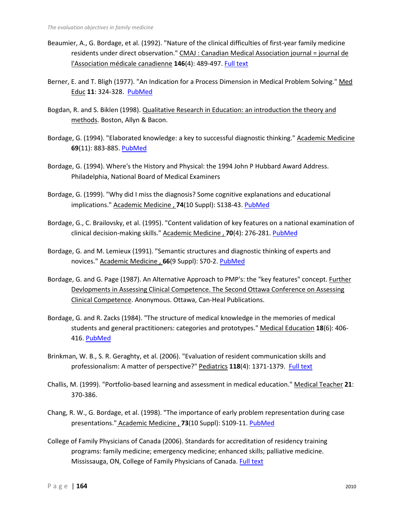- Beaumier, A., G. Bordage, et al. (1992). "Nature of the clinical difficulties of first-year family medicine residents under direct observation." CMAJ : Canadian Medical Association journal = journal de l'Association médicale canadienne **146**(4): 489-497. [Full text](http://www.pubmedcentral.nih.gov/articlerender.fcgi?tool=pubmed&pubmedid=1737313)
- Berner, E. and T. Bligh (1977). "An Indication for a Process Dimension in Medical Problem Solving." Med Educ **11**: 324-328. [PubMed](http://www.ncbi.nlm.nih.gov/sites/entrez?Db=pubmed&Cmd=DetailsSearch&Term=904494%5Buid%5D)
- Bogdan, R. and S. Biklen (1998). Qualitative Research in Education: an introduction the theory and methods. Boston, Allyn & Bacon.
- Bordage, G. (1994). "Elaborated knowledge: a key to successful diagnostic thinking." Academic Medicine **69**(11): 883-885. [PubMed](http://www.ncbi.nlm.nih.gov/pubmed/7945684?dopt=abstract)
- Bordage, G. (1994). Where's the History and Physical: the 1994 John P Hubbard Award Address. Philadelphia, National Board of Medical Examiners
- Bordage, G. (1999). "Why did I miss the diagnosis? Some cognitive explanations and educational implications." Academic Medicine , **74**(10 Suppl): S138-43. [PubMed](http://www.ncbi.nlm.nih.gov/pubmed/10536619?dopt=abstract)
- Bordage, G., C. Brailovsky, et al. (1995). "Content validation of key features on a national examination of clinical decision-making skills." Academic Medicine , **70**(4): 276-281. [PubMed](http://www.ncbi.nlm.nih.gov/pubmed/7718059?dopt=abstract)
- Bordage, G. and M. Lemieux (1991). "Semantic structures and diagnostic thinking of experts and novices." Academic Medicine , **66**(9 Suppl): S70-2. [PubMed](http://www.ncbi.nlm.nih.gov/pubmed/1930535?dopt=abstract)
- Bordage, G. and G. Page (1987). An Alternative Approach to PMP's: the "key features" concept. Further Devlopments in Assessing Clinical Competence. The Second Ottawa Conference on Assessing Clinical Competence. Anonymous. Ottawa, Can-Heal Publications.
- Bordage, G. and R. Zacks (1984). "The structure of medical knowledge in the memories of medical students and general practitioners: categories and prototypes." Medical Education **18**(6): 406- 416. [PubMed](http://www.ncbi.nlm.nih.gov/pubmed/6503748?dopt=abstract)
- Brinkman, W. B., S. R. Geraghty, et al. (2006). "Evaluation of resident communication skills and professionalism: A matter of perspective?" Pediatrics **118**(4): 1371-1379. [Full text](http://pediatrics.aappublications.org/cgi/reprint/118/4/1371)
- Challis, M. (1999). "Portfolio-based learning and assessment in medical education." Medical Teacher **21**: 370-386.
- Chang, R. W., G. Bordage, et al. (1998). "The importance of early problem representation during case presentations." Academic Medicine , **73**(10 Suppl): S109-11. [PubMed](http://www.ncbi.nlm.nih.gov/pubmed/9795669?dopt=abstract)
- College of Family Physicians of Canada (2006). Standards for accreditation of residency training programs: family medicine; emergency medicine; enhanced skills; palliative medicine. Mississauga, ON, College of Family Physicians of Canada. [Full text](http://www.cfpc.ca/local/files/Education/Red%20Book%20Sept.%202006%20English.pdf)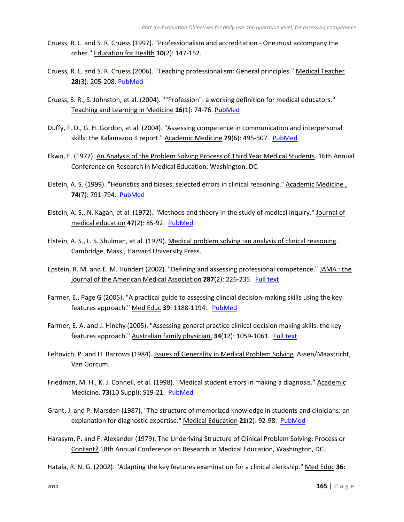- Cruess, R. L. and S. R. Cruess (1997). "Professionalism and accreditation One must accompany the other." Education for Health **10**(2): 147-152.
- Cruess, R. L. and S. R. Cruess (2006). "Teaching professionalism: General principles." Medical Teacher **28**(3): 205-208. [PubMed](http://www.ncbi.nlm.nih.gov/sites/entrez?Db=pubmed&Cmd=DetailsSearch&Term=16753716%5Buid%5D)
- Cruess, S. R., S. Johnston, et al. (2004). ""Profession": a working definition for medical educators." Teaching and Learning in Medicine **16**(1): 74-76. [PubMed](http://www.ncbi.nlm.nih.gov/sites/entrez?Db=pubmed&Cmd=DetailsSearch&Term=14987179%5Buid%5D)
- Duffy, F. D., G. H. Gordon, et al. (2004). "Assessing competence in communication and interpersonal skills: the Kalamazoo II report." Academic Medicine **79**(6): 495-507. [PubMed](http://www.ncbi.nlm.nih.gov/pubmed/15165967?dopt=abstract)
- Ekwo, E. (1977). An Analysis of the Problem Solving Process of Third Year Medical Students. 16th Annual Conference on Research in Medical Education, Washington, DC.
- Elstein, A. S. (1999). "Heuristics and biases: selected errors in clinical reasoning." Academic Medicine, **74**(7): 791-794. [PubMed](http://www.ncbi.nlm.nih.gov/pubmed/10429587?dopt=abstract)
- Elstein, A. S., N. Kagan, et al. (1972). "Methods and theory in the study of medical inquiry." Journal of medical education **47**(2): 85-92. [PubMed](http://www.ncbi.nlm.nih.gov/pubmed/5011772?dopt=abstract)
- Elstein, A. S., L. S. Shulman, et al. (1979). Medical problem solving :an analysis of clinical reasoning. Cambridge, Mass., Harvard University Press.
- Epstein, R. M. and E. M. Hundert (2002). "Defining and assessing professional competence." JAMA : the journal of the American Medical Association **287**(2): 226-235. [Full text](http://jama.ama-assn.org/cgi/reprint/287/2/226)
- Farmer, E., Page G (2005). "A practical guide to assessing clincial decision-making skills using the key features approach." Med Educ **39**: 1188-1194. [PubMed](http://www.ncbi.nlm.nih.gov/sites/entrez?Db=pubmed&Cmd=DetailsSearch&Term=16313577%5Buid%5D)
- Farmer, E. A. and J. Hinchy (2005). "Assessing general practice clinical decision making skills: the key features approach." Australian family physician. **34**(12): 1059-1061. [Full text](http://www.racgp.org.au/afp/200512/200512farmer.pdf)
- Feltovich, P. and H. Barrows (1984). Issues of Generality in Medical Problem Solving. Assen/Maastricht, Van Gorcum.
- Friedman, M. H., K. J. Connell, et al. (1998). "Medical student errors in making a diagnosis." Academic Medicine. **73**(10 Suppl): S19-21. [PubMed](http://www.ncbi.nlm.nih.gov/pubmed/9795640?dopt=abstract)
- Grant, J. and P. Marsden (1987). "The structure of memorized knowledge in students and clinicians: an explanation for diagnostic expertise." Medical Education **21**(2): 92-98. [PubMed](http://www.ncbi.nlm.nih.gov/pubmed/3574171?dopt=abstract)
- Harasym, P. and F. Alexander (1979). The Underlying Structure of Clinical Problem Solving: Process or Content? 18th Annual Conference on Research in Medical Education, Washington, DC.
- Hatala, R. N. G. (2002). "Adapting the key features examination for a clinical clerkship." Med Educ **36**: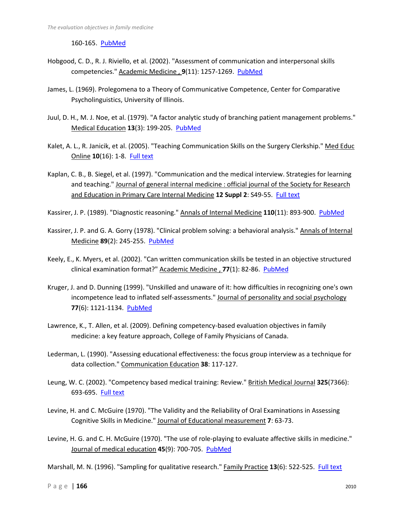160-165. [PubMed](http://www.ncbi.nlm.nih.gov/sites/entrez?Db=pubmed&Cmd=DetailsSearch&Term=11869444%5Buid%5D)

- Hobgood, C. D., R. J. Riviello, et al. (2002). "Assessment of communication and interpersonal skills competencies." Academic Medicine , **9**(11): 1257-1269. [PubMed](http://www.ncbi.nlm.nih.gov/pubmed/12414480?dopt=abstract)
- James, L. (1969). Prolegomena to a Theory of Communicative Competence, Center for Comparative Psycholinguistics, University of Illinois.
- Juul, D. H., M. J. Noe, et al. (1979). "A factor analytic study of branching patient management problems." Medical Education **13**(3): 199-205. [PubMed](http://www.ncbi.nlm.nih.gov/pubmed/481299?dopt=abstract)
- Kalet, A. L., R. Janicik, et al. (2005). "Teaching Communication Skills on the Surgery Clerkship." Med Educ Online **10**(16): 1-8. [Full text](http://www.med-ed-online.org/pdf/res00141.pdf)
- Kaplan, C. B., B. Siegel, et al. (1997). "Communication and the medical interview. Strategies for learning and teaching." Journal of general internal medicine : official journal of the Society for Research and Education in Primary Care Internal Medicine **12 Suppl 2**: S49-55. [Full text](http://www.pubmedcentral.nih.gov/articlerender.fcgi?tool=pubmed&pubmedid=9127244)

Kassirer, J. P. (1989). "Diagnostic reasoning." Annals of Internal Medicine **110**(11): 893-900. [PubMed](http://www.ncbi.nlm.nih.gov/sites/entrez?Db=pubmed&Cmd=DetailsSearch&Term=2655522%5Buid%5D)

- Kassirer, J. P. and G. A. Gorry (1978). "Clinical problem solving: a behavioral analysis." Annals of Internal Medicine **89**(2): 245-255. [PubMed](http://www.ncbi.nlm.nih.gov/pubmed/677593?dopt=abstract)
- Keely, E., K. Myers, et al. (2002). "Can written communication skills be tested in an objective structured clinical examination format?" Academic Medicine , **77**(1): 82-86. [PubMed](http://www.ncbi.nlm.nih.gov/pubmed/11788330?dopt=abstract)
- Kruger, J. and D. Dunning (1999). "Unskilled and unaware of it: how difficulties in recognizing one's own incompetence lead to inflated self-assessments." Journal of personality and social psychology **77**(6): 1121-1134. PubMed
- Lawrence, K., T. Allen, et al. (2009). Defining competency-based evaluation objectives in family medicine: a key feature approach, College of Family Physicians of Canada.
- Lederman, L. (1990). "Assessing educational effectiveness: the focus group interview as a technique for data collection." Communication Education **38**: 117-127.
- Leung, W. C. (2002). "Competency based medical training: Review." British Medical Journal **325**(7366): 693-695. [Full text](http://www.pubmedcentral.nih.gov/articlerender.fcgi?tool=pubmed&pubmedid=12351364)
- Levine, H. and C. McGuire (1970). "The Validity and the Reliability of Oral Examinations in Assessing Cognitive Skills in Medicine." Journal of Educational measurement **7**: 63-73.
- Levine, H. G. and C. H. McGuire (1970). "The use of role-playing to evaluate affective skills in medicine." Journal of medical education **45**(9): 700-705. [PubMed](http://www.ncbi.nlm.nih.gov/pubmed/5454700?dopt=abstract)

Marshall, M. N. (1996). "Sampling for qualitative research." Family Practice 13(6): 522-525. [Full text](http://fampra.oxfordjournals.org/cgi/reprint/13/6/522)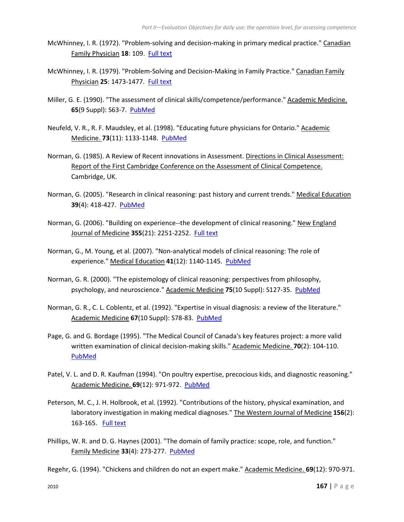- McWhinney, I. R. (1972). "Problem-solving and decision-making in primary medical practice." Canadian Family Physician **18**: 109. [Full text](http://www.pubmedcentral.nih.gov/articlerender.fcgi?artid=2370728&tool=pmcentrez)
- McWhinney, I. R. (1979). "Problem-Solving and Decision-Making in Family Practice." Canadian Family Physician **25**: 1473-1477. [Full text](http://www.pubmedcentral.nih.gov/articlerender.fcgi?artid=2383247&tool=pmcentrez)
- Miller, G. E. (1990). "The assessment of clinical skills/competence/performance." Academic Medicine. **65**(9 Suppl): S63-7. [PubMed](http://www.ncbi.nlm.nih.gov/pubmed/2400509?dopt=abstract)
- Neufeld, V. R., R. F. Maudsley, et al. (1998). "Educating future physicians for Ontario." Academic Medicine. **73**(11): 1133-1148. [PubMed](http://www.ncbi.nlm.nih.gov/pubmed/9834695?dopt=abstract)
- Norman, G. (1985). A Review of Recent innovations in Assessment. Directions in Clinical Assessment: Report of the First Cambridge Conference on the Assessment of Clinical Competence. Cambridge, UK.
- Norman, G. (2005). "Research in clinical reasoning: past history and current trends." Medical Education **39**(4): 418-427. [PubMed](http://www.ncbi.nlm.nih.gov/sites/entrez?Db=pubmed&Cmd=DetailsSearch&Term=15813765%5Buid%5D)
- Norman, G. (2006). "Building on experience--the development of clinical reasoning." New England Journal of Medicine **355**(21): 2251-2252. [Full text](http://content.nejm.org/cgi/reprint/355/21/2251.pdf)
- Norman, G., M. Young, et al. (2007). "Non-analytical models of clinical reasoning: The role of experience." Medical Education **41**(12): 1140-1145. [PubMed](http://www.ncbi.nlm.nih.gov/sites/entrez?Db=pubmed&Cmd=DetailsSearch&Term=18004990%5Buid%5D)
- Norman, G. R. (2000). "The epistemology of clinical reasoning: perspectives from philosophy, psychology, and neuroscience." Academic Medicine **75**(10 Suppl): S127-35. [PubMed](http://www.ncbi.nlm.nih.gov/sites/entrez?Db=pubmed&Cmd=DetailsSearch&Term=11031197%5Buid%5D)
- Norman, G. R., C. L. Coblentz, et al. (1992). "Expertise in visual diagnosis: a review of the literature." Academic Medicine **67**(10 Suppl): S78-83. [PubMed](http://www.ncbi.nlm.nih.gov/pubmed/1388563?dopt=abstract)
- Page, G. and G. Bordage (1995). "The Medical Council of Canada's key features project: a more valid written examination of clinical decision-making skills." Academic Medicine. **70**(2): 104-110. [PubMed](http://www.ncbi.nlm.nih.gov/pubmed/7865034?dopt=abstract)
- Patel, V. L. and D. R. Kaufman (1994). "On poultry expertise, precocious kids, and diagnostic reasoning." Academic Medicine. **69**(12): 971-972. [PubMed](http://www.ncbi.nlm.nih.gov/pubmed/7999187?dopt=abstract)
- Peterson, M. C., J. H. Holbrook, et al. (1992). "Contributions of the history, physical examination, and laboratory investigation in making medical diagnoses." The Western Journal of Medicine **156**(2): 163-165. [Full text](http://www.pubmedcentral.nih.gov/articlerender.fcgi?tool=pubmed&pubmedid=1536065)
- Phillips, W. R. and D. G. Haynes (2001). "The domain of family practice: scope, role, and function." Family Medicine **33**(4): 273-277. [PubMed](http://www.ncbi.nlm.nih.gov/sites/entrez?Db=pubmed&Cmd=DetailsSearch&Term=11322520%5Buid%5D)

Regehr, G. (1994). "Chickens and children do not an expert make." Academic Medicine. **69**(12): 970-971.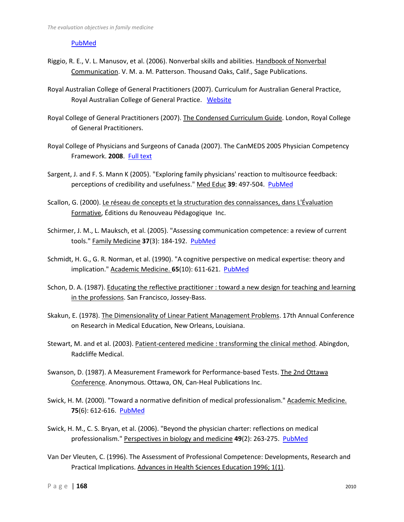## [PubMed](http://www.ncbi.nlm.nih.gov/pubmed/7999186?dopt=abstract)

- Riggio, R. E., V. L. Manusov, et al. (2006). Nonverbal skills and abilities. Handbook of Nonverbal Communication. V. M. a. M. Patterson. Thousand Oaks, Calif., Sage Publications.
- Royal Australian College of General Practitioners (2007). Curriculum for Australian General Practice, Royal Australian College of General Practice. [Website](http://www.racgp.org.au/curriculum)
- Royal College of General Practitioners (2007). The Condensed Curriculum Guide. London, Royal College of General Practitioners.
- Royal College of Physicians and Surgeons of Canada (2007). The CanMEDS 2005 Physician Competency Framework. **2008**. [Full text](http://meds.queensu.ca/medicine/obgyn/pdf/CanMEDS2005.booklet.pdf)
- Sargent, J. and F. S. Mann K (2005). "Exploring family physicians' reaction to multisource feedback: perceptions of credibility and usefulness." Med Educ **39**: 497-504. [PubMed](http://www.ncbi.nlm.nih.gov/pubmed/15842684?dopt=abstract)
- Scallon, G. (2000). Le réseau de concepts et la structuration des connaissances, dans L'Évaluation Formative, Éditions du Renouveau Pédagogique Inc.
- Schirmer, J. M., L. Mauksch, et al. (2005). "Assessing communication competence: a review of current tools." Family Medicine **37**(3): 184-192. [PubMed](http://www.ncbi.nlm.nih.gov/pubmed/15739134?dopt=abstract)
- Schmidt, H. G., G. R. Norman, et al. (1990). "A cognitive perspective on medical expertise: theory and implication." Academic Medicine. **65**(10): 611-621. [PubMed](http://www.ncbi.nlm.nih.gov/pubmed/2261032?dopt=abstract)
- Schon, D. A. (1987). Educating the reflective practitioner : toward a new design for teaching and learning in the professions. San Francisco, Jossey-Bass.
- Skakun, E. (1978). The Dimensionality of Linear Patient Management Problems. 17th Annual Conference on Research in Medical Education, New Orleans, Louisiana.
- Stewart, M. and et al. (2003). Patient-centered medicine : transforming the clinical method. Abingdon, Radcliffe Medical.
- Swanson, D. (1987). A Measurement Framework for Performance-based Tests. The 2nd Ottawa Conference. Anonymous. Ottawa, ON, Can-Heal Publications Inc.
- Swick, H. M. (2000). "Toward a normative definition of medical professionalism." Academic Medicine. **75**(6): 612-616. [PubMed](http://www.ncbi.nlm.nih.gov/sites/entrez?Db=pubmed&Cmd=DetailsSearch&Term=10875505%5Buid%5D)
- Swick, H. M., C. S. Bryan, et al. (2006). "Beyond the physician charter: reflections on medical professionalism." Perspectives in biology and medicine **49**(2): 263-275. [PubMed](http://www.ncbi.nlm.nih.gov/sites/entrez?Db=pubmed&Cmd=DetailsSearch&Term=16702709%5Buid%5D)
- Van Der Vleuten, C. (1996). The Assessment of Professional Competence: Developments, Research and Practical Implications. Advances in Health Sciences Education 1996; 1(1).